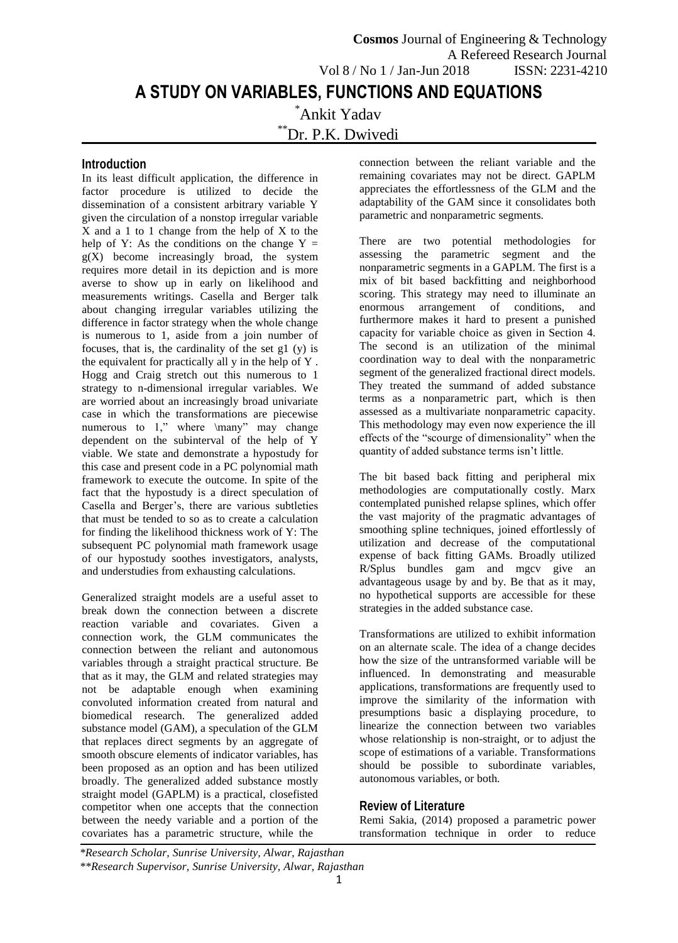# **Introduction**

In its least difficult application, the difference in factor procedure is utilized to decide the dissemination of a consistent arbitrary variable Y given the circulation of a nonstop irregular variable X and a 1 to 1 change from the help of X to the help of Y: As the conditions on the change  $Y =$  $g(X)$  become increasingly broad, the system requires more detail in its depiction and is more averse to show up in early on likelihood and measurements writings. Casella and Berger talk about changing irregular variables utilizing the difference in factor strategy when the whole change is numerous to 1, aside from a join number of focuses, that is, the cardinality of the set g1 (y) is the equivalent for practically all y in the help of Y . Hogg and Craig stretch out this numerous to 1 strategy to n-dimensional irregular variables. We are worried about an increasingly broad univariate case in which the transformations are piecewise numerous to 1," where \many" may change dependent on the subinterval of the help of Y viable. We state and demonstrate a hypostudy for this case and present code in a PC polynomial math framework to execute the outcome. In spite of the fact that the hypostudy is a direct speculation of Casella and Berger's, there are various subtleties that must be tended to so as to create a calculation for finding the likelihood thickness work of Y: The subsequent PC polynomial math framework usage of our hypostudy soothes investigators, analysts, and understudies from exhausting calculations.

Generalized straight models are a useful asset to break down the connection between a discrete reaction variable and covariates. Given a connection work, the GLM communicates the connection between the reliant and autonomous variables through a straight practical structure. Be that as it may, the GLM and related strategies may not be adaptable enough when examining convoluted information created from natural and biomedical research. The generalized added substance model (GAM), a speculation of the GLM that replaces direct segments by an aggregate of smooth obscure elements of indicator variables, has been proposed as an option and has been utilized broadly. The generalized added substance mostly straight model (GAPLM) is a practical, closefisted competitor when one accepts that the connection between the needy variable and a portion of the covariates has a parametric structure, while the

connection between the reliant variable and the remaining covariates may not be direct. GAPLM appreciates the effortlessness of the GLM and the adaptability of the GAM since it consolidates both parametric and nonparametric segments.

There are two potential methodologies for assessing the parametric segment and the nonparametric segments in a GAPLM. The first is a mix of bit based backfitting and neighborhood scoring. This strategy may need to illuminate an enormous arrangement of conditions, and furthermore makes it hard to present a punished capacity for variable choice as given in Section 4. The second is an utilization of the minimal coordination way to deal with the nonparametric segment of the generalized fractional direct models. They treated the summand of added substance terms as a nonparametric part, which is then assessed as a multivariate nonparametric capacity. This methodology may even now experience the ill effects of the "scourge of dimensionality" when the quantity of added substance terms isn't little.

The bit based back fitting and peripheral mix methodologies are computationally costly. Marx contemplated punished relapse splines, which offer the vast majority of the pragmatic advantages of smoothing spline techniques, joined effortlessly of utilization and decrease of the computational expense of back fitting GAMs. Broadly utilized R/Splus bundles gam and mgcv give an advantageous usage by and by. Be that as it may, no hypothetical supports are accessible for these strategies in the added substance case.

Transformations are utilized to exhibit information on an alternate scale. The idea of a change decides how the size of the untransformed variable will be influenced. In demonstrating and measurable applications, transformations are frequently used to improve the similarity of the information with presumptions basic a displaying procedure, to linearize the connection between two variables whose relationship is non-straight, or to adjust the scope of estimations of a variable. Transformations should be possible to subordinate variables, autonomous variables, or both.

# **Review of Literature**

Remi Sakia, (2014) proposed a parametric power transformation technique in order to reduce

*\*Research Scholar, Sunrise University, Alwar, Rajasthan \*\*Research Supervisor, Sunrise University, Alwar, Rajasthan*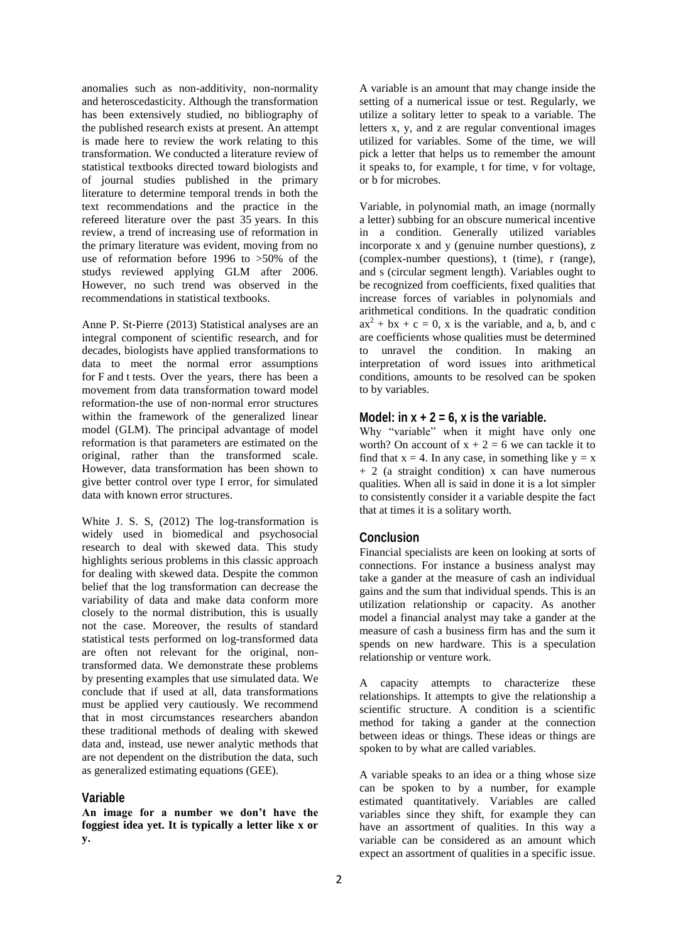anomalies such as non-additivity, non-normality and heteroscedasticity. Although the transformation has been extensively studied, no bibliography of the published research exists at present. An attempt is made here to review the work relating to this transformation. We conducted a literature review of statistical textbooks directed toward biologists and of journal studies published in the primary literature to determine temporal trends in both the text recommendations and the practice in the refereed literature over the past 35 years. In this review, a trend of increasing use of reformation in the primary literature was evident, moving from no use of reformation before 1996 to >50% of the studys reviewed applying GLM after 2006. However, no such trend was observed in the recommendations in statistical textbooks.

[Anne P. St](https://www.ncbi.nlm.nih.gov/pubmed/?term=St%26%23x02010%3BPierre%20AP%5BAuthor%5D&cauthor=true&cauthor_uid=29607007)‐Pierre (2013) Statistical analyses are an integral component of scientific research, and for decades, biologists have applied transformations to data to meet the normal error assumptions for F and t tests. Over the years, there has been a movement from data transformation toward model reformation-the use of non‐normal error structures within the framework of the generalized linear model (GLM). The principal advantage of model reformation is that parameters are estimated on the original, rather than the transformed scale. However, data transformation has been shown to give better control over type I error, for simulated data with known error structures.

White J. S. S, (2012) The log-transformation is widely used in biomedical and psychosocial research to deal with skewed data. This study highlights serious problems in this classic approach for dealing with skewed data. Despite the common belief that the log transformation can decrease the variability of data and make data conform more closely to the normal distribution, this is usually not the case. Moreover, the results of standard statistical tests performed on log-transformed data are often not relevant for the original, nontransformed data. We demonstrate these problems by presenting examples that use simulated data. We conclude that if used at all, data transformations must be applied very cautiously. We recommend that in most circumstances researchers abandon these traditional methods of dealing with skewed data and, instead, use newer analytic methods that are not dependent on the distribution the data, such as generalized estimating equations (GEE).

#### **Variable**

**An image for a number we don't have the foggiest idea yet. It is typically a letter like x or y.** 

A variable is an amount that may change inside the setting of a numerical issue or test. Regularly, we utilize a solitary letter to speak to a variable. The letters x, y, and z are regular conventional images utilized for variables. Some of the time, we will pick a letter that helps us to remember the amount it speaks to, for example, t for time, v for voltage, or b for microbes.

Variable, in polynomial math, an image (normally a letter) subbing for an obscure numerical incentive in a condition. Generally utilized variables incorporate x and y (genuine number questions), z (complex-number questions), t (time), r (range), and s (circular segment length). Variables ought to be recognized from coefficients, fixed qualities that increase forces of variables in polynomials and arithmetical conditions. In the quadratic condition  $ax^{2} + bx + c = 0$ , x is the variable, and a, b, and c are coefficients whose qualities must be determined to unravel the condition. In making an interpretation of word issues into arithmetical conditions, amounts to be resolved can be spoken to by variables.

### Model: in  $x + 2 = 6$ , x is the variable.

Why "variable" when it might have only one worth? On account of  $x + 2 = 6$  we can tackle it to find that  $x = 4$ . In any case, in something like  $y = x$ + 2 (a straight condition) x can have numerous qualities. When all is said in done it is a lot simpler to consistently consider it a variable despite the fact that at times it is a solitary worth.

# **Conclusion**

Financial specialists are keen on looking at sorts of connections. For instance a business analyst may take a gander at the measure of cash an individual gains and the sum that individual spends. This is an utilization relationship or capacity. As another model a financial analyst may take a gander at the measure of cash a business firm has and the sum it spends on new hardware. This is a speculation relationship or venture work.

A capacity attempts to characterize these relationships. It attempts to give the relationship a scientific structure. A condition is a scientific method for taking a gander at the connection between ideas or things. These ideas or things are spoken to by what are called variables.

A variable speaks to an idea or a thing whose size can be spoken to by a number, for example estimated quantitatively. Variables are called variables since they shift, for example they can have an assortment of qualities. In this way a variable can be considered as an amount which expect an assortment of qualities in a specific issue.